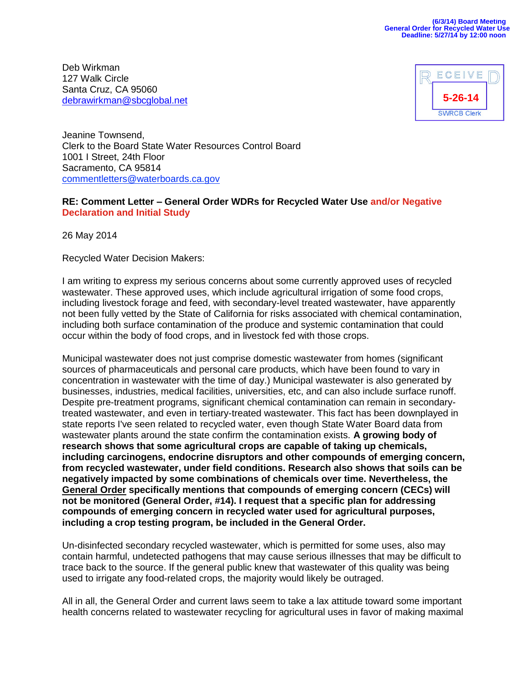Deb Wirkman 127 Walk Circle Santa Cruz, CA 95060 [debrawirkman@sbcglobal.net](mailto:debrawirkman@sbcglobal.net)



Jeanine Townsend, Clerk to the Board State Water Resources Control Board 1001 I Street, 24th Floor Sacramento, CA 95814 [commentletters@waterboards.ca.gov](mailto:commentletters@waterboards.ca.gov)

## **RE: Comment Letter – General Order WDRs for Recycled Water Use and/or Negative Declaration and Initial Study**

26 May 2014

Recycled Water Decision Makers:

I am writing to express my serious concerns about some currently approved uses of recycled wastewater. These approved uses, which include agricultural irrigation of some food crops, including livestock forage and feed, with secondary-level treated wastewater, have apparently not been fully vetted by the State of California for risks associated with chemical contamination, including both surface contamination of the produce and systemic contamination that could occur within the body of food crops, and in livestock fed with those crops.

Municipal wastewater does not just comprise domestic wastewater from homes (significant sources of pharmaceuticals and personal care products, which have been found to vary in concentration in wastewater with the time of day.) Municipal wastewater is also generated by businesses, industries, medical facilities, universities, etc, and can also include surface runoff. Despite pre-treatment programs, significant chemical contamination can remain in secondarytreated wastewater, and even in tertiary-treated wastewater. This fact has been downplayed in state reports I've seen related to recycled water, even though State Water Board data from wastewater plants around the state confirm the contamination exists. **A growing body of research shows that some agricultural crops are capable of taking up chemicals, including carcinogens, endocrine disruptors and other compounds of emerging concern, from recycled wastewater, under field conditions. Research also shows that soils can be negatively impacted by some combinations of chemicals over time. Nevertheless, the General Order specifically mentions that compounds of emerging concern (CECs) will not be monitored (General Order, #14). I request that a specific plan for addressing compounds of emerging concern in recycled water used for agricultural purposes, including a crop testing program, be included in the General Order.**

Un-disinfected secondary recycled wastewater, which is permitted for some uses, also may contain harmful, undetected pathogens that may cause serious illnesses that may be difficult to trace back to the source. If the general public knew that wastewater of this quality was being used to irrigate any food-related crops, the majority would likely be outraged.

All in all, the General Order and current laws seem to take a lax attitude toward some important health concerns related to wastewater recycling for agricultural uses in favor of making maximal